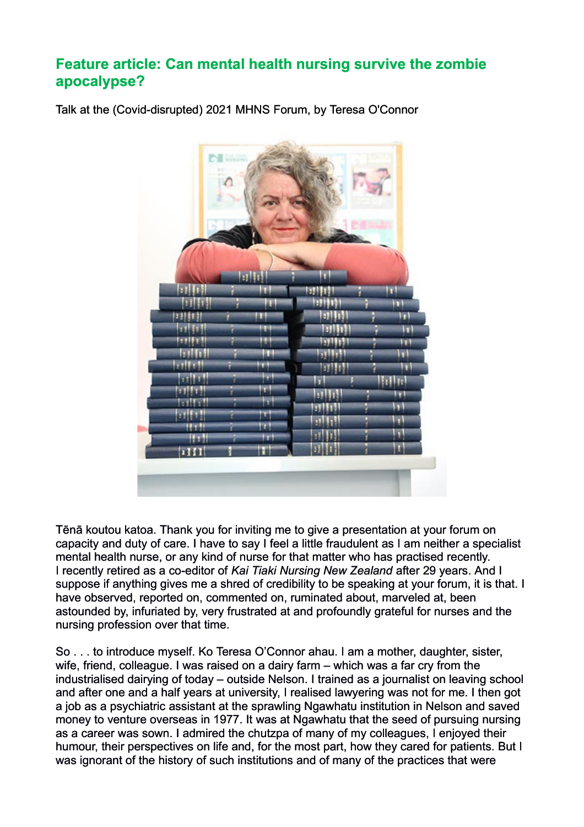## **Feature article: Can mental health nursing survive the zombie apocalypse?**

۷ă m ٣I **ETILES** m alla ۱W **BELEVEL** الواليوا m **Syllistic Falle** a St m W **STIFT!** ۱y۱ ला **Littert** m الرزاررا w w **BULLET** H  $1111$ 32 H 34 Ħ ir et ни

Talk at the (Covid-disrupted) 2021 MHNS Forum, by Teresa O'Connor

Tēnā koutou katoa. Thank you for inviting me to give a presentation at your forum on capacity and duty of care. I have to say I feel a little fraudulent as I am neither a specialist mental health nurse, or any kind of nurse for that matter who has practised recently. I recently retired as a co-editor of *Kai Tiaki Nursing New Zealand* after 29 years. And I suppose if anything gives me a shred of credibility to be speaking at your forum, it is that. I have observed, reported on, commented on, ruminated about, marveled at, been astounded by, infuriated by, very frustrated at and profoundly grateful for nurses and the nursing profession over that time.

So . . . to introduce myself. Ko Teresa O'Connor ahau. I am a mother, daughter, sister, wife, friend, colleague. I was raised on a dairy farm – which was a far cry from the industrialised dairying of today – outside Nelson. I trained as a journalist on leaving school and after one and a half years at university, I realised lawyering was not for me. I then got a job as a psychiatric assistant at the sprawling Ngawhatu institution in Nelson and saved money to venture overseas in 1977. It was at Ngawhatu that the seed of pursuing nursing as a career was sown. I admired the chutzpa of many of my colleagues, I enjoyed their humour, their perspectives on life and, for the most part, how they cared for patients. But I was ignorant of the history of such institutions and of many of the practices that were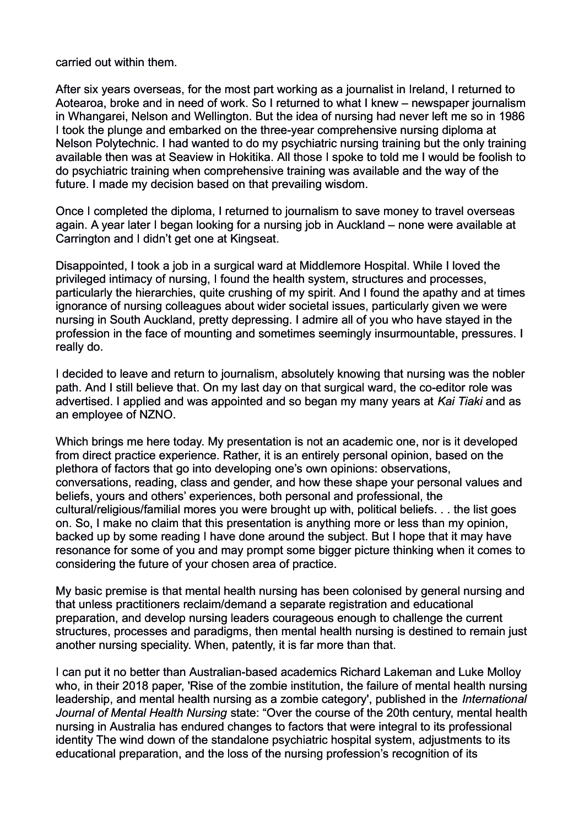carried out within them.

After six years overseas, for the most part working as a journalist in Ireland, I returned to Aotearoa, broke and in need of work. So I returned to what I knew – newspaper journalism in Whangarei, Nelson and Wellington. But the idea of nursing had never left me so in 1986 I took the plunge and embarked on the three-year comprehensive nursing diploma at Nelson Polytechnic. I had wanted to do my psychiatric nursing training but the only training available then was at Seaview in Hokitika. All those I spoke to told me I would be foolish to do psychiatric training when comprehensive training was available and the way of the future. I made my decision based on that prevailing wisdom.

Once I completed the diploma, I returned to journalism to save money to travel overseas again. A year later I began looking for a nursing job in Auckland – none were available at Carrington and I didn't get one at Kingseat.

Disappointed, I took a job in a surgical ward at Middlemore Hospital. While I loved the privileged intimacy of nursing, I found the health system, structures and processes, particularly the hierarchies, quite crushing of my spirit. And I found the apathy and at times ignorance of nursing colleagues about wider societal issues, particularly given we were nursing in South Auckland, pretty depressing. I admire all of you who have stayed in the profession in the face of mounting and sometimes seemingly insurmountable, pressures. I really do.

I decided to leave and return to journalism, absolutely knowing that nursing was the nobler path. And I still believe that. On my last day on that surgical ward, the co-editor role was advertised. I applied and was appointed and so began my many years at *Kai Tiaki* and as an employee of NZNO.

Which brings me here today. My presentation is not an academic one, nor is it developed from direct practice experience. Rather, it is an entirely personal opinion, based on the plethora of factors that go into developing one's own opinions: observations, conversations, reading, class and gender, and how these shape your personal values and beliefs, yours and others' experiences, both personal and professional, the cultural/religious/familial mores you were brought up with, political beliefs. . . the list goes on. So, I make no claim that this presentation is anything more or less than my opinion, backed up by some reading I have done around the subject. But I hope that it may have resonance for some of you and may prompt some bigger picture thinking when it comes to considering the future of your chosen area of practice.

My basic premise is that mental health nursing has been colonised by general nursing and that unless practitioners reclaim/demand a separate registration and educational preparation, and develop nursing leaders courageous enough to challenge the current structures, processes and paradigms, then mental health nursing is destined to remain just another nursing speciality. When, patently, it is far more than that.

I can put it no better than Australian-based academics Richard Lakeman and Luke Molloy who, in their 2018 paper, 'Rise of the zombie institution, the failure of mental health nursing leadership, and mental health nursing as a zombie category', published in the *International Journal of Mental Health Nursing* state: "Over the course of the 20th century, mental health nursing in Australia has endured changes to factors that were integral to its professional identity The wind down of the standalone psychiatric hospital system, adjustments to its educational preparation, and the loss of the nursing profession's recognition of its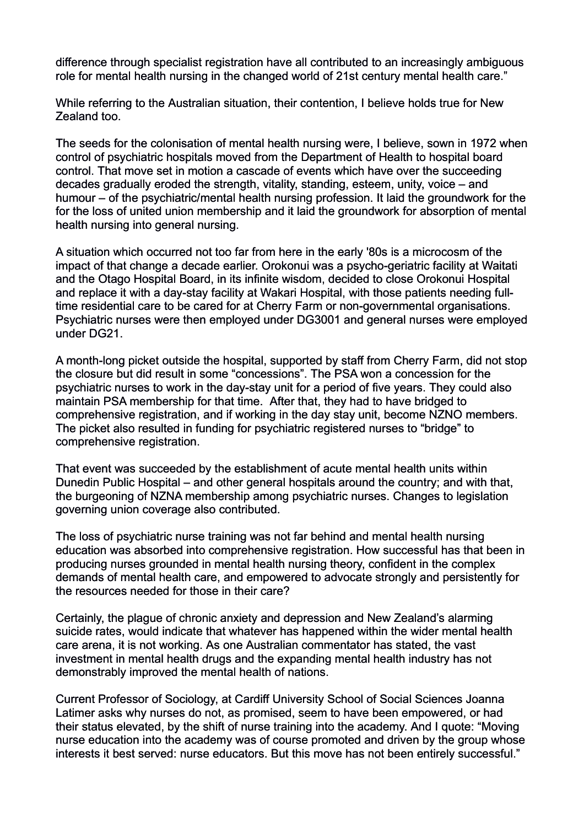difference through specialist registration have all contributed to an increasingly ambiguous role for mental health nursing in the changed world of 21st century mental health care."

While referring to the Australian situation, their contention, I believe holds true for New Zealand too.

The seeds for the colonisation of mental health nursing were, I believe, sown in 1972 when control of psychiatric hospitals moved from the Department of Health to hospital board control. That move set in motion a cascade of events which have over the succeeding decades gradually eroded the strength, vitality, standing, esteem, unity, voice – and humour – of the psychiatric/mental health nursing profession. It laid the groundwork for the for the loss of united union membership and it laid the groundwork for absorption of mental health nursing into general nursing.

A situation which occurred not too far from here in the early '80s is a microcosm of the impact of that change a decade earlier. Orokonui was a psycho-geriatric facility at Waitati and the Otago Hospital Board, in its infinite wisdom, decided to close Orokonui Hospital and replace it with a day-stay facility at Wakari Hospital, with those patients needing fulltime residential care to be cared for at Cherry Farm or non-governmental organisations. Psychiatric nurses were then employed under DG3001 and general nurses were employed under DG21.

A month-long picket outside the hospital, supported by staff from Cherry Farm, did not stop the closure but did result in some "concessions". The PSA won a concession for the psychiatric nurses to work in the day-stay unit for a period of five years. They could also maintain PSA membership for that time. After that, they had to have bridged to comprehensive registration, and if working in the day stay unit, become NZNO members. The picket also resulted in funding for psychiatric registered nurses to "bridge" to comprehensive registration.

That event was succeeded by the establishment of acute mental health units within Dunedin Public Hospital – and other general hospitals around the country; and with that, the burgeoning of NZNA membership among psychiatric nurses. Changes to legislation governing union coverage also contributed.

The loss of psychiatric nurse training was not far behind and mental health nursing education was absorbed into comprehensive registration. How successful has that been in producing nurses grounded in mental health nursing theory, confident in the complex demands of mental health care, and empowered to advocate strongly and persistently for the resources needed for those in their care?

Certainly, the plague of chronic anxiety and depression and New Zealand's alarming suicide rates, would indicate that whatever has happened within the wider mental health care arena, it is not working. As one Australian commentator has stated, the vast investment in mental health drugs and the expanding mental health industry has not demonstrably improved the mental health of nations.

Current Professor of Sociology, at Cardiff University School of Social Sciences Joanna Latimer asks why nurses do not, as promised, seem to have been empowered, or had their status elevated, by the shift of nurse training into the academy. And I quote: "Moving nurse education into the academy was of course promoted and driven by the group whose interests it best served: nurse educators. But this move has not been entirely successful."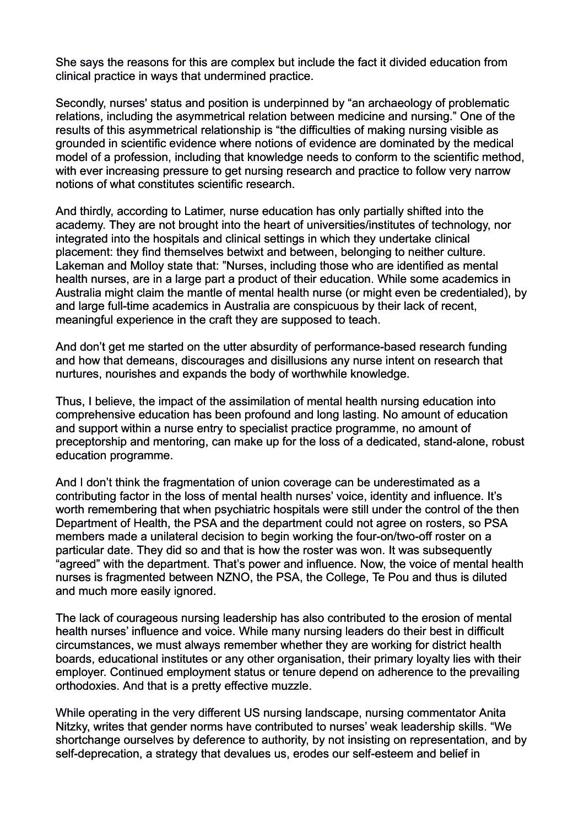She says the reasons for this are complex but include the fact it divided education from clinical practice in ways that undermined practice.

Secondly, nurses' status and position is underpinned by "an archaeology of problematic relations, including the asymmetrical relation between medicine and nursing." One of the results of this asymmetrical relationship is "the difficulties of making nursing visible as grounded in scientific evidence where notions of evidence are dominated by the medical model of a profession, including that knowledge needs to conform to the scientific method, with ever increasing pressure to get nursing research and practice to follow very narrow notions of what constitutes scientific research.

And thirdly, according to Latimer, nurse education has only partially shifted into the academy. They are not brought into the heart of universities/institutes of technology, nor integrated into the hospitals and clinical settings in which they undertake clinical placement: they find themselves betwixt and between, belonging to neither culture. Lakeman and Molloy state that: "Nurses, including those who are identified as mental health nurses, are in a large part a product of their education. While some academics in Australia might claim the mantle of mental health nurse (or might even be credentialed), by and large full-time academics in Australia are conspicuous by their lack of recent, meaningful experience in the craft they are supposed to teach.

And don't get me started on the utter absurdity of performance-based research funding and how that demeans, discourages and disillusions any nurse intent on research that nurtures, nourishes and expands the body of worthwhile knowledge.

Thus, I believe, the impact of the assimilation of mental health nursing education into comprehensive education has been profound and long lasting. No amount of education and support within a nurse entry to specialist practice programme, no amount of preceptorship and mentoring, can make up for the loss of a dedicated, stand-alone, robust education programme.

And I don't think the fragmentation of union coverage can be underestimated as a contributing factor in the loss of mental health nurses' voice, identity and influence. It's worth remembering that when psychiatric hospitals were still under the control of the then Department of Health, the PSA and the department could not agree on rosters, so PSA members made a unilateral decision to begin working the four-on/two-off roster on a particular date. They did so and that is how the roster was won. It was subsequently "agreed" with the department. That's power and influence. Now, the voice of mental health nurses is fragmented between NZNO, the PSA, the College, Te Pou and thus is diluted and much more easily ignored.

The lack of courageous nursing leadership has also contributed to the erosion of mental health nurses' influence and voice. While many nursing leaders do their best in difficult circumstances, we must always remember whether they are working for district health boards, educational institutes or any other organisation, their primary loyalty lies with their employer. Continued employment status or tenure depend on adherence to the prevailing orthodoxies. And that is a pretty effective muzzle.

While operating in the very different US nursing landscape, nursing commentator Anita Nitzky, writes that gender norms have contributed to nurses' weak leadership skills. "We shortchange ourselves by deference to authority, by not insisting on representation, and by self-deprecation, a strategy that devalues us, erodes our self-esteem and belief in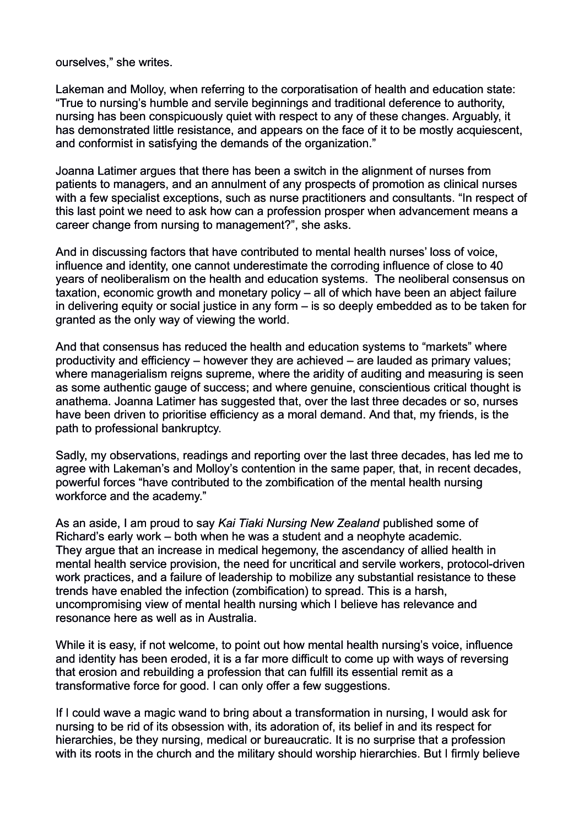ourselves," she writes.

Lakeman and Molloy, when referring to the corporatisation of health and education state: "True to nursing's humble and servile beginnings and traditional deference to authority, nursing has been conspicuously quiet with respect to any of these changes. Arguably, it has demonstrated little resistance, and appears on the face of it to be mostly acquiescent, and conformist in satisfying the demands of the organization."

Joanna Latimer argues that there has been a switch in the alignment of nurses from patients to managers, and an annulment of any prospects of promotion as clinical nurses with a few specialist exceptions, such as nurse practitioners and consultants. "In respect of this last point we need to ask how can a profession prosper when advancement means a career change from nursing to management?", she asks.

And in discussing factors that have contributed to mental health nurses' loss of voice, influence and identity, one cannot underestimate the corroding influence of close to 40 years of neoliberalism on the health and education systems. The neoliberal consensus on taxation, economic growth and monetary policy – all of which have been an abject failure in delivering equity or social justice in any form – is so deeply embedded as to be taken for granted as the only way of viewing the world.

And that consensus has reduced the health and education systems to "markets" where productivity and efficiency – however they are achieved – are lauded as primary values; where managerialism reigns supreme, where the aridity of auditing and measuring is seen as some authentic gauge of success; and where genuine, conscientious critical thought is anathema. Joanna Latimer has suggested that, over the last three decades or so, nurses have been driven to prioritise efficiency as a moral demand. And that, my friends, is the path to professional bankruptcy.

Sadly, my observations, readings and reporting over the last three decades, has led me to agree with Lakeman's and Molloy's contention in the same paper, that, in recent decades, powerful forces "have contributed to the zombification of the mental health nursing workforce and the academy."

As an aside, I am proud to say *Kai Tiaki Nursing New Zealand* published some of Richard's early work – both when he was a student and a neophyte academic. They argue that an increase in medical hegemony, the ascendancy of allied health in mental health service provision, the need for uncritical and servile workers, protocol-driven work practices, and a failure of leadership to mobilize any substantial resistance to these trends have enabled the infection (zombification) to spread. This is a harsh, uncompromising view of mental health nursing which I believe has relevance and resonance here as well as in Australia.

While it is easy, if not welcome, to point out how mental health nursing's voice, influence and identity has been eroded, it is a far more difficult to come up with ways of reversing that erosion and rebuilding a profession that can fulfill its essential remit as a transformative force for good. I can only offer a few suggestions.

If I could wave a magic wand to bring about a transformation in nursing, I would ask for nursing to be rid of its obsession with, its adoration of, its belief in and its respect for hierarchies, be they nursing, medical or bureaucratic. It is no surprise that a profession with its roots in the church and the military should worship hierarchies. But I firmly believe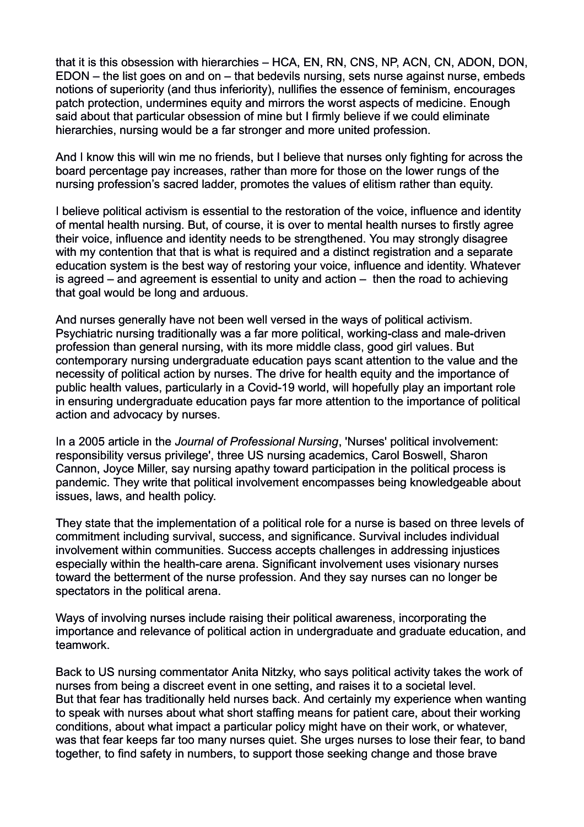that it is this obsession with hierarchies – HCA, EN, RN, CNS, NP, ACN, CN, ADON, DON, EDON – the list goes on and on – that bedevils nursing, sets nurse against nurse, embeds notions of superiority (and thus inferiority), nullifies the essence of feminism, encourages patch protection, undermines equity and mirrors the worst aspects of medicine. Enough said about that particular obsession of mine but I firmly believe if we could eliminate hierarchies, nursing would be a far stronger and more united profession.

And I know this will win me no friends, but I believe that nurses only fighting for across the board percentage pay increases, rather than more for those on the lower rungs of the nursing profession's sacred ladder, promotes the values of elitism rather than equity.

I believe political activism is essential to the restoration of the voice, influence and identity of mental health nursing. But, of course, it is over to mental health nurses to firstly agree their voice, influence and identity needs to be strengthened. You may strongly disagree with my contention that that is what is required and a distinct registration and a separate education system is the best way of restoring your voice, influence and identity. Whatever is agreed – and agreement is essential to unity and action – then the road to achieving that goal would be long and arduous.

And nurses generally have not been well versed in the ways of political activism. Psychiatric nursing traditionally was a far more political, working-class and male-driven profession than general nursing, with its more middle class, good girl values. But contemporary nursing undergraduate education pays scant attention to the value and the necessity of political action by nurses. The drive for health equity and the importance of public health values, particularly in a Covid-19 world, will hopefully play an important role in ensuring undergraduate education pays far more attention to the importance of political action and advocacy by nurses.

In a 2005 article in the *Journal of Professional Nursing*, 'Nurses' political involvement: responsibility versus privilege', three US nursing academics, Carol Boswell, Sharon Cannon, Joyce Miller, say nursing apathy toward participation in the political process is pandemic. They write that political involvement encompasses being knowledgeable about issues, laws, and health policy.

They state that the implementation of a political role for a nurse is based on three levels of commitment including survival, success, and significance. Survival includes individual involvement within communities. Success accepts challenges in addressing injustices especially within the health-care arena. Significant involvement uses visionary nurses toward the betterment of the nurse profession. And they say nurses can no longer be spectators in the political arena.

Ways of involving nurses include raising their political awareness, incorporating the importance and relevance of political action in undergraduate and graduate education, and teamwork.

Back to US nursing commentator Anita Nitzky, who says political activity takes the work of nurses from being a discreet event in one setting, and raises it to a societal level. But that fear has traditionally held nurses back. And certainly my experience when wanting to speak with nurses about what short staffing means for patient care, about their working conditions, about what impact a particular policy might have on their work, or whatever, was that fear keeps far too many nurses quiet. She urges nurses to lose their fear, to band together, to find safety in numbers, to support those seeking change and those brave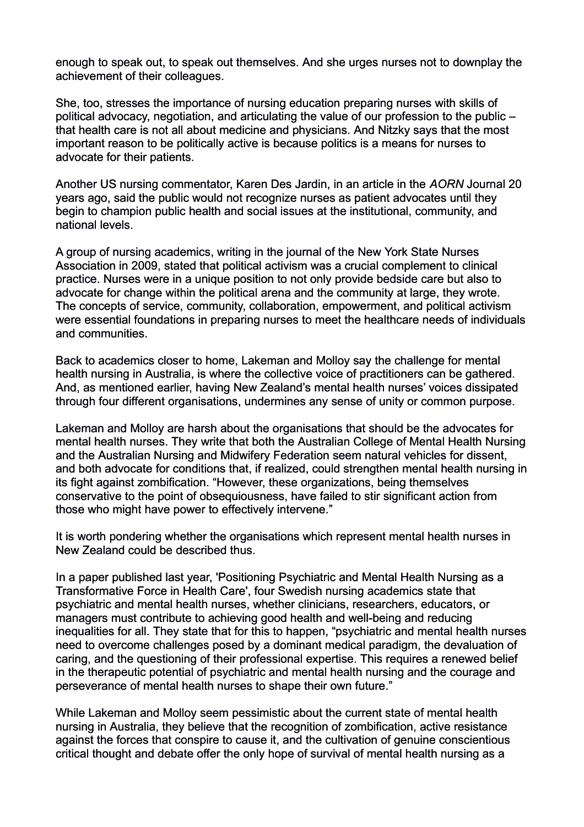enough to speak out, to speak out themselves. And she urges nurses not to downplay the achievement of their colleagues.

She, too, stresses the importance of nursing education preparing nurses with skills of political advocacy, negotiation, and articulating the value of our profession to the public – that health care is not all about medicine and physicians. And Nitzky says that the most important reason to be politically active is because politics is a means for nurses to advocate for their patients.

Another US nursing commentator, Karen Des Jardin, in an article in the *AORN* Journal 20 years ago, said the public would not recognize nurses as patient advocates until they begin to champion public health and social issues at the institutional, community, and national levels.

A group of nursing academics, writing in the journal of the New York State Nurses Association in 2009, stated that political activism was a crucial complement to clinical practice. Nurses were in a unique position to not only provide bedside care but also to advocate for change within the political arena and the community at large, they wrote. The concepts of service, community, collaboration, empowerment, and political activism were essential foundations in preparing nurses to meet the healthcare needs of individuals and communities.

Back to academics closer to home, Lakeman and Molloy say the challenge for mental health nursing in Australia, is where the collective voice of practitioners can be gathered. And, as mentioned earlier, having New Zealand's mental health nurses' voices dissipated through four different organisations, undermines any sense of unity or common purpose.

Lakeman and Molloy are harsh about the organisations that should be the advocates for mental health nurses. They write that both the Australian College of Mental Health Nursing and the Australian Nursing and Midwifery Federation seem natural vehicles for dissent, and both advocate for conditions that, if realized, could strengthen mental health nursing in its fight against zombification. "However, these organizations, being themselves conservative to the point of obsequiousness, have failed to stir significant action from those who might have power to effectively intervene."

It is worth pondering whether the organisations which represent mental health nurses in New Zealand could be described thus.

In a paper published last year, 'Positioning Psychiatric and Mental Health Nursing as a Transformative Force in Health Care', four Swedish nursing academics state that psychiatric and mental health nurses, whether clinicians, researchers, educators, or managers must contribute to achieving good health and well-being and reducing inequalities for all. They state that for this to happen, "psychiatric and mental health nurses need to overcome challenges posed by a dominant medical paradigm, the devaluation of caring, and the questioning of their professional expertise. This requires a renewed belief in the therapeutic potential of psychiatric and mental health nursing and the courage and perseverance of mental health nurses to shape their own future."

While Lakeman and Molloy seem pessimistic about the current state of mental health nursing in Australia, they believe that the recognition of zombification, active resistance against the forces that conspire to cause it, and the cultivation of genuine conscientious critical thought and debate offer the only hope of survival of mental health nursing as a